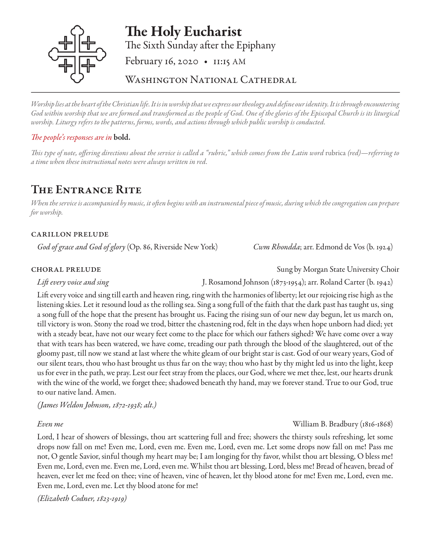# The Holy Eucharist



The Sixth Sunday after the Epiphany

February 16, 2020 • 11:15 AM

Washington National Cathedral

*Worship lies at the heart of the Christian life. It is in worship that we express our theology and define our identity. It is through encountering God within worship that we are formed and transformed as the people of God. One of the glories of the Episcopal Church is its liturgical worship. Liturgy refers to the patterns, forms, words, and actions through which public worship is conducted.* 

# *The people's responses are in* bold.

*This type of note, offering directions about the service is called a "rubric," which comes from the Latin word* rubrica *(red)—referring to a time when these instructional notes were always written in red.*

# The Entrance Rite

*When the service is accompanied by music, it often begins with an instrumental piece of music, during which the congregation can prepare for worship.*

# carillon prelude

*God of grace and God of glory* (Op. 86, Riverside New York) *Cwm Rhondda*; arr. Edmond de Vos (b. 1924)

# choral prelude Sung by Morgan State University Choir

*Lift every voice and sing* J. Rosamond Johnson (1873-1954); arr. Roland Carter (b. 1942)

Lift every voice and sing till earth and heaven ring, ring with the harmonies of liberty; let our rejoicing rise high as the listening skies. Let it resound loud as the rolling sea. Sing a song full of the faith that the dark past has taught us, sing a song full of the hope that the present has brought us. Facing the rising sun of our new day begun, let us march on, till victory is won. Stony the road we trod, bitter the chastening rod, felt in the days when hope unborn had died; yet with a steady beat, have not our weary feet come to the place for which our fathers sighed? We have come over a way that with tears has been watered, we have come, treading our path through the blood of the slaughtered, out of the gloomy past, till now we stand at last where the white gleam of our bright star is cast. God of our weary years, God of our silent tears, thou who hast brought us thus far on the way; thou who hast by thy might led us into the light, keep us for ever in the path, we pray. Lest our feet stray from the places, our God, where we met thee, lest, our hearts drunk with the wine of the world, we forget thee; shadowed beneath thy hand, may we forever stand. True to our God, true to our native land. Amen.

*(James Weldon Johnson, 1872-1938; alt.)*

Lord, I hear of showers of blessings, thou art scattering full and free; showers the thirsty souls refreshing, let some drops now fall on me! Even me, Lord, even me. Even me, Lord, even me. Let some drops now fall on me! Pass me not, O gentle Savior, sinful though my heart may be; I am longing for thy favor, whilst thou art blessing, O bless me! Even me, Lord, even me. Even me, Lord, even me. Whilst thou art blessing, Lord, bless me! Bread of heaven, bread of heaven, ever let me feed on thee; vine of heaven, vine of heaven, let thy blood atone for me! Even me, Lord, even me. Even me, Lord, even me. Let thy blood atone for me!

*(Elizabeth Codner, 1823-1919)*

# *Even me* William B. Bradbury (1816-1868)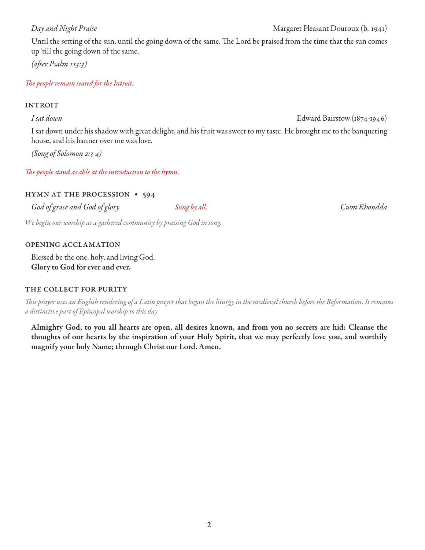Until the setting of the sun, until the going down of the same. The Lord be praised from the time that the sun comes up 'till the going down of the same.

*(after Psalm 113:3)*

### *The people remain seated for the Introit.*

#### **INTROIT**

I sat down under his shadow with great delight, and his fruit was sweet to my taste. He brought me to the banqueting house, and his banner over me was love.

*(Song of Solomon 2:3-4)*

*The people stand as able at the introduction to the hymn.* 

### hymn at the procession • 594

*God of grace and God of glory Sung by all. Cwm Rhondda* 

*We begin our worship as a gathered community by praising God in song.*

### opening acclamation

Blessed be the one, holy, and living God. Glory to God for ever and ever.

### the collect for purity

*This prayer was an English rendering of a Latin prayer that began the liturgy in the medieval church before the Reformation. It remains a distinctive part of Episcopal worship to this day.*

Almighty God, to you all hearts are open, all desires known, and from you no secrets are hid: Cleanse the thoughts of our hearts by the inspiration of your Holy Spirit, that we may perfectly love you, and worthily magnify your holy Name; through Christ our Lord. Amen.

### *Day and Night Praise* Margaret Pleasant Douroux (b. 1941)

*I sat down* Edward Bairstow (1874-1946)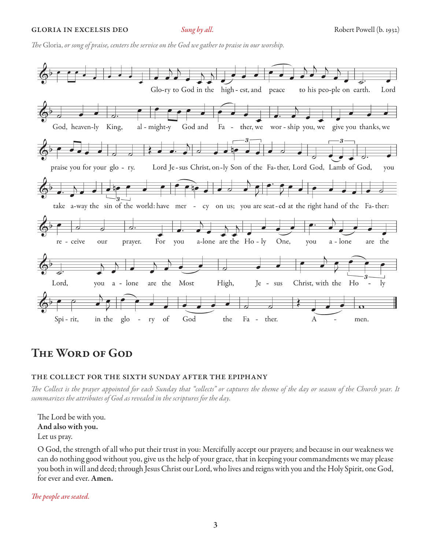*The* Gloria, *or song of praise, centers the service on the God we gather to praise in our worship.*



# The Word of God

### the collect for the sixth sunday after the epiphany

*The Collect is the prayer appointed for each Sunday that "collects" or captures the theme of the day or season of the Church year. It summarizes the attributes of God as revealed in the scriptures for the day.*

The Lord be with you. And also with you. Let us pray.

O God, the strength of all who put their trust in you: Mercifully accept our prayers; and because in our weakness we can do nothing good without you, give us the help of your grace, that in keeping your commandments we may please you both in will and deed; through Jesus Christ our Lord, who lives and reigns with you and the Holy Spirit, one God, for ever and ever. Amen.

*The people are seated.*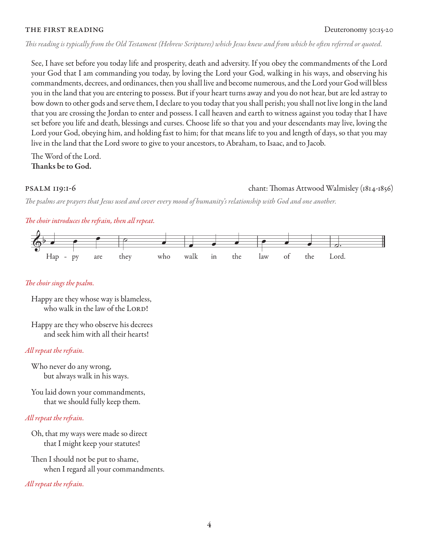#### THE FIRST READING  $\qquad \qquad$  Deuteronomy 30:15-20

*This reading is typically from the Old Testament (Hebrew Scriptures) which Jesus knew and from which he often referred or quoted.*

See, I have set before you today life and prosperity, death and adversity. If you obey the commandments of the Lord your God that I am commanding you today, by loving the Lord your God, walking in his ways, and observing his commandments, decrees, and ordinances, then you shall live and become numerous, and the Lord your God will bless you in the land that you are entering to possess. But if your heart turns away and you do not hear, but are led astray to bow down to other gods and serve them, I declare to you today that you shall perish; you shall not live long in the land that you are crossing the Jordan to enter and possess. I call heaven and earth to witness against you today that I have set before you life and death, blessings and curses. Choose life so that you and your descendants may live, loving the Lord your God, obeying him, and holding fast to him; for that means life to you and length of days, so that you may live in the land that the Lord swore to give to your ancestors, to Abraham, to Isaac, and to Jacob.

The Word of the Lord. Thanks be to God.

psalm 119:1-6 chant: Thomas Attwood Walmisley (1814-1856)

*The psalms are prayers that Jesus used and cover every mood of humanity's relationship with God and one another.*

*The choir introduces the refrain, then all repeat.*



### *The choir sings the psalm.*

Happy are they whose way is blameless, who walk in the law of the LORD!

Happy are they who observe his decrees and seek him with all their hearts!

### *All repeat the refrain.*

Who never do any wrong, but always walk in his ways.

You laid down your commandments, that we should fully keep them.

## *All repeat the refrain.*

Oh, that my ways were made so direct that I might keep your statutes!

Then I should not be put to shame, when I regard all your commandments.

*All repeat the refrain.*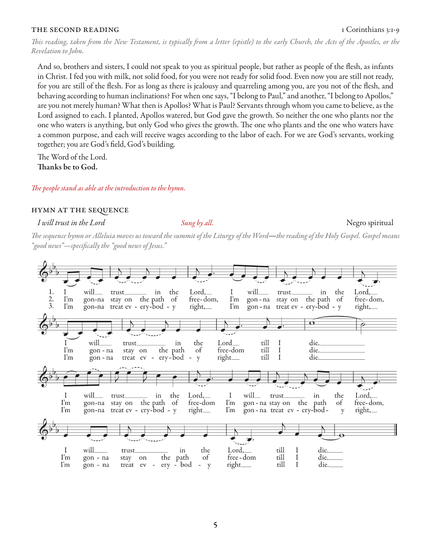#### THE SECOND READING THE SECOND READING

*This reading, taken from the New Testament, is typically from a letter (epistle) to the early Church, the Acts of the Apostles, or the Revelation to John.*

And so, brothers and sisters, I could not speak to you as spiritual people, but rather as people of the flesh, as infants in Christ. I fed you with milk, not solid food, for you were not ready for solid food. Even now you are still not ready, for you are still of the flesh. For as long as there is jealousy and quarreling among you, are you not of the flesh, and behaving according to human inclinations? For when one says, "I belong to Paul," and another, "I belong to Apollos," are you not merely human? What then is Apollos? What is Paul? Servants through whom you came to believe, as the Lord assigned to each. I planted, Apollos watered, but God gave the growth. So neither the one who plants nor the one who waters is anything, but only God who gives the growth. The one who plants and the one who waters have a common purpose, and each will receive wages according to the labor of each. For we are God's servants, working together; you are God's field, God's building.

The Word of the Lord. Thanks be to God.

### *The people stand as able at the introduction to the hymn.*

#### hymn at the sequence

*I will trust in the Lord* Sung by all. Sung by all.

*The sequence hymn or Alleluia moves us toward the summit of the Liturgy of the Word*—*the reading of the Holy Gospel. Gospel means "good news"—specifically the "good news of Jesus."* 

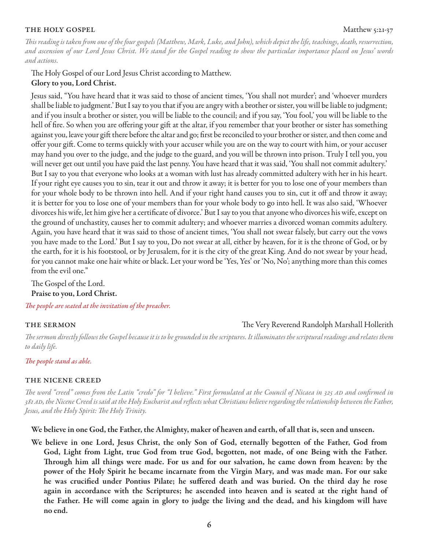#### the holy gospel Matthew 5:21-37

*This reading is taken from one of the four gospels (Matthew, Mark, Luke, and John), which depict the life, teachings, death, resurrection, and ascension of our Lord Jesus Christ. We stand for the Gospel reading to show the particular importance placed on Jesus' words and actions.*

## The Holy Gospel of our Lord Jesus Christ according to Matthew. Glory to you, Lord Christ.

Jesus said, "You have heard that it was said to those of ancient times, 'You shall not murder'; and 'whoever murders shall be liable to judgment.' But I say to you that if you are angry with a brother or sister, you will be liable to judgment; and if you insult a brother or sister, you will be liable to the council; and if you say, 'You fool,' you will be liable to the hell of fire. So when you are offering your gift at the altar, if you remember that your brother or sister has something against you, leave your gift there before the altar and go; first be reconciled to your brother or sister, and then come and offer your gift. Come to terms quickly with your accuser while you are on the way to court with him, or your accuser may hand you over to the judge, and the judge to the guard, and you will be thrown into prison. Truly I tell you, you will never get out until you have paid the last penny. You have heard that it was said, 'You shall not commit adultery.' But I say to you that everyone who looks at a woman with lust has already committed adultery with her in his heart. If your right eye causes you to sin, tear it out and throw it away; it is better for you to lose one of your members than for your whole body to be thrown into hell. And if your right hand causes you to sin, cut it off and throw it away; it is better for you to lose one of your members than for your whole body to go into hell. It was also said, 'Whoever divorces his wife, let him give her a certificate of divorce.' But I say to you that anyone who divorces his wife, except on the ground of unchastity, causes her to commit adultery; and whoever marries a divorced woman commits adultery. Again, you have heard that it was said to those of ancient times, 'You shall not swear falsely, but carry out the vows you have made to the Lord.' But I say to you, Do not swear at all, either by heaven, for it is the throne of God, or by the earth, for it is his footstool, or by Jerusalem, for it is the city of the great King. And do not swear by your head, for you cannot make one hair white or black. Let your word be 'Yes, Yes' or 'No, No'; anything more than this comes from the evil one."

### The Gospel of the Lord. Praise to you, Lord Christ.

*The people are seated at the invitation of the preacher.*

## the sermon The Very Reverend Randolph Marshall Hollerith

*The sermon directly follows the Gospel because it is to be grounded in the scriptures. It illuminates the scriptural readings and relates them to daily life.*

### *The people stand as able.*

#### the nicene creed

The word "creed" comes from the Latin "credo" for "I believe." First formulated at the Council of Nicaea in 325 AD and confirmed in *381ad, the Nicene Creed is said at the Holy Eucharist and reflects what Christians believe regarding the relationship between the Father, Jesus, and the Holy Spirit: The Holy Trinity.*

We believe in one God, the Father, the Almighty, maker of heaven and earth, of all that is, seen and unseen.

We believe in one Lord, Jesus Christ, the only Son of God, eternally begotten of the Father, God from God, Light from Light, true God from true God, begotten, not made, of one Being with the Father. Through him all things were made. For us and for our salvation, he came down from heaven: by the power of the Holy Spirit he became incarnate from the Virgin Mary, and was made man. For our sake he was crucified under Pontius Pilate; he suffered death and was buried. On the third day he rose again in accordance with the Scriptures; he ascended into heaven and is seated at the right hand of the Father. He will come again in glory to judge the living and the dead, and his kingdom will have no end.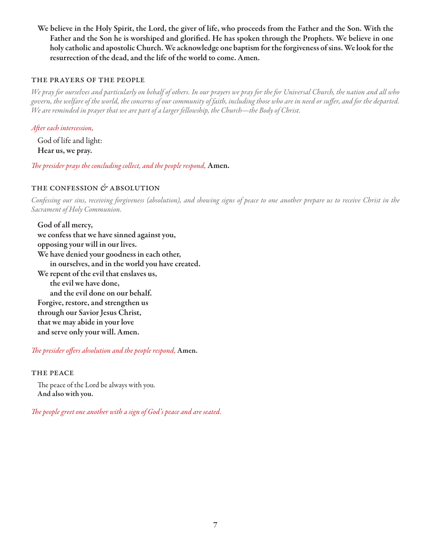We believe in the Holy Spirit, the Lord, the giver of life, who proceeds from the Father and the Son. With the Father and the Son he is worshiped and glorified. He has spoken through the Prophets. We believe in one holy catholic and apostolic Church. We acknowledge one baptism for the forgiveness of sins. We look for the resurrection of the dead, and the life of the world to come. Amen.

#### the prayers of the people

*We pray for ourselves and particularly on behalf of others. In our prayers we pray for the for Universal Church, the nation and all who govern, the welfare of the world, the concerns of our community of faith, including those who are in need or suffer, and for the departed. We are reminded in prayer that we are part of a larger fellowship, the Church—the Body of Christ.*

### *After each intercession,*

God of life and light: Hear us, we pray.

*The presider prays the concluding collect, and the people respond,* Amen.

### the confession *&* absolution

*Confessing our sins, receiving forgiveness (absolution), and showing signs of peace to one another prepare us to receive Christ in the Sacrament of Holy Communion.*

God of all mercy, we confess that we have sinned against you, opposing your will in our lives. We have denied your goodness in each other, in ourselves, and in the world you have created. We repent of the evil that enslaves us, the evil we have done, and the evil done on our behalf. Forgive, restore, and strengthen us through our Savior Jesus Christ, that we may abide in your love and serve only your will. Amen.

### *The presider offers absolution and the people respond,* Amen.

#### THE PEACE

The peace of the Lord be always with you. And also with you.

*The people greet one another with a sign of God's peace and are seated.*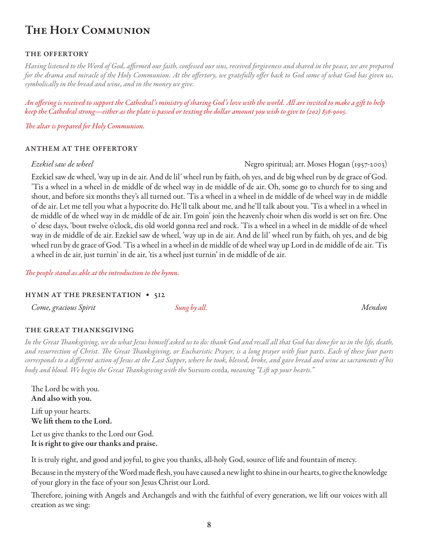# The Holy Communion

### the offertory

*Having listened to the Word of God, affirmed our faith, confessed our sins, received forgiveness and shared in the peace, we are prepared for the drama and miracle of the Holy Communion. At the offertory, we gratefully offer back to God some of what God has given us, symbolically in the bread and wine, and in the money we give.* 

*An offering is received to support the Cathedral's ministry of sharing God's love with the world. All are invited to make a gift to help keep the Cathedral strong—either as the plate is passed or texting the dollar amount you wish to give to (202) 856-9005.*

*The altar is prepared for Holy Communion.*

#### anthem at the offertory

*Ezekiel saw de wheel* Negro spiritual; arr. Moses Hogan (1957-2003)

Ezekiel saw de wheel, 'way up in de air. And de lil' wheel run by faith, oh yes, and de big wheel run by de grace of God. 'Tis a wheel in a wheel in de middle of de wheel way in de middle of de air. Oh, some go to church for to sing and shout, and before six months they's all turned out. 'Tis a wheel in a wheel in de middle of de wheel way in de middle of de air. Let me tell you what a hypocrite do. He'll talk about me, and he'll talk about you. 'Tis a wheel in a wheel in de middle of de wheel way in de middle of de air. I'm goin' join the heavenly choir when dis world is set on fire. One o' dese days, 'bout twelve o'clock, dis old world gonna reel and rock. 'Tis a wheel in a wheel in de middle of de wheel way in de middle of de air. Ezekiel saw de wheel, 'way up in de air. And de lil' wheel run by faith, oh yes, and de big wheel run by de grace of God. 'Tis a wheel in a wheel in de middle of de wheel way up Lord in de middle of de air. 'Tis a wheel in de air, just turnin' in de air, 'tis a wheel just turnin' in de middle of de air.

*The people stand as able at the introduction to the hymn.* 

#### HYMN AT THE PRESENTATION • 512

*Come, gracious Spirit Sung by all. Mendon*

### the great thanksgiving

*In the Great Thanksgiving, we do what Jesus himself asked us to do: thank God and recall all that God has done for us in the life, death, and resurrection of Christ. The Great Thanksgiving, or Eucharistic Prayer, is a long prayer with four parts. Each of these four parts corresponds to a different action of Jesus at the Last Supper, where he took, blessed, broke, and gave bread and wine as sacraments of his body and blood. We begin the Great Thanksgiving with the* Sursum corda*, meaning "Lift up your hearts."* 

The Lord be with you. And also with you.

Lift up your hearts. We lift them to the Lord.

Let us give thanks to the Lord our God. It is right to give our thanks and praise.

It is truly right, and good and joyful, to give you thanks, all-holy God, source of life and fountain of mercy.

Because in the mystery of the Word made flesh, you have caused a new light to shine in our hearts, to give the knowledge of your glory in the face of your son Jesus Christ our Lord.

Therefore, joining with Angels and Archangels and with the faithful of every generation, we lift our voices with all creation as we sing: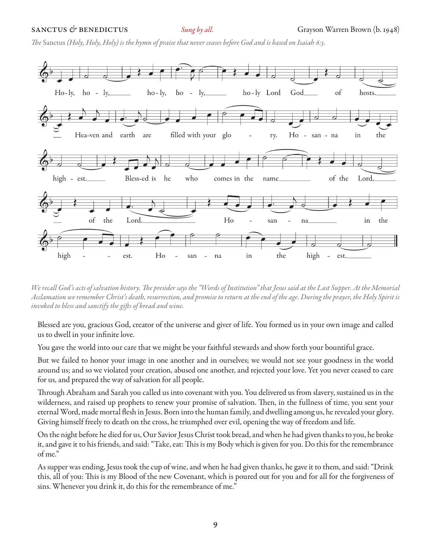*The* Sanctus *(Holy, Holy, Holy) is the hymn of praise that never ceases before God and is based on Isaiah 6:3.*



*We recall God's acts of salvation history. The presider says the "Words of Institution" that Jesus said at the Last Supper. At the Memorial Acclamation we remember Christ's death, resurrection, and promise to return at the end of the age. During the prayer, the Holy Spirit is invoked to bless and sanctify the gifts of bread and wine.*

Blessed are you, gracious God, creator of the universe and giver of life. You formed us in your own image and called us to dwell in your infinite love.

You gave the world into our care that we might be your faithful stewards and show forth your bountiful grace.

But we failed to honor your image in one another and in ourselves; we would not see your goodness in the world around us; and so we violated your creation, abused one another, and rejected your love. Yet you never ceased to care for us, and prepared the way of salvation for all people.

Through Abraham and Sarah you called us into covenant with you. You delivered us from slavery, sustained us in the wilderness, and raised up prophets to renew your promise of salvation. Then, in the fullness of time, you sent your eternal Word, made mortal flesh in Jesus. Born into the human family, and dwelling among us, he revealed your glory. Giving himself freely to death on the cross, he triumphed over evil, opening the way of freedom and life.

On the night before he died for us, Our Savior Jesus Christ took bread, and when he had given thanks to you, he broke it, and gave it to his friends, and said: "Take, eat: This is my Body which is given for you. Do this for the remembrance of me."

As supper was ending, Jesus took the cup of wine, and when he had given thanks, he gave it to them, and said: "Drink this, all of you: This is my Blood of the new Covenant, which is poured out for you and for all for the forgiveness of sins. Whenever you drink it, do this for the remembrance of me."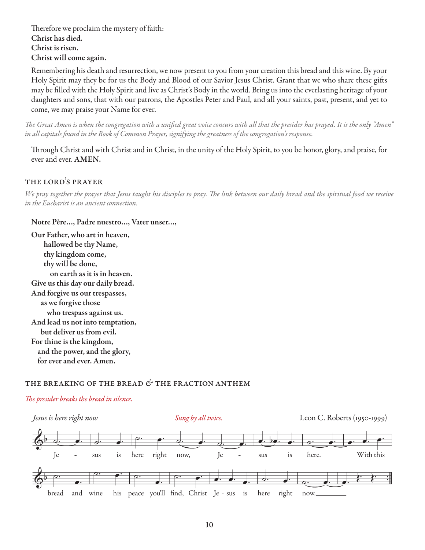Therefore we proclaim the mystery of faith: Christ has died. Christ is risen. Christ will come again.

Remembering his death and resurrection, we now present to you from your creation this bread and this wine. By your Holy Spirit may they be for us the Body and Blood of our Savior Jesus Christ. Grant that we who share these gifts may be filled with the Holy Spirit and live as Christ's Body in the world. Bring us into the everlasting heritage of your daughters and sons, that with our patrons, the Apostles Peter and Paul, and all your saints, past, present, and yet to come, we may praise your Name for ever.

*The Great Amen is when the congregation with a unified great voice concurs with all that the presider has prayed. It is the only "Amen" in all capitals found in the Book of Common Prayer, signifying the greatness of the congregation's response.* 

Through Christ and with Christ and in Christ, in the unity of the Holy Spirit, to you be honor, glory, and praise, for ever and ever. AMEN.

#### the lord's prayer

*We pray together the prayer that Jesus taught his disciples to pray. The link between our daily bread and the spiritual food we receive in the Eucharist is an ancient connection.*

#### Notre Père…, Padre nuestro…, Vater unser…,

Our Father, who art in heaven, hallowed be thy Name, thy kingdom come, thy will be done, on earth as it is in heaven. Give us this day our daily bread. And forgive us our trespasses, as we forgive those who trespass against us. And lead us not into temptation, but deliver us from evil. For thine is the kingdom, and the power, and the glory, for ever and ever. Amen.

### the breaking of the bread *&* the fraction anthem

#### *The presider breaks the bread in silence.*

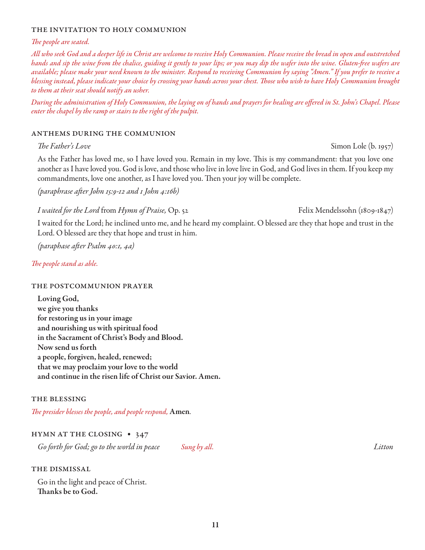#### the invitation to holy communion

#### *The people are seated.*

*All who seek God and a deeper life in Christ are welcome to receive Holy Communion. Please receive the bread in open and outstretched hands and sip the wine from the chalice, guiding it gently to your lips; or you may dip the wafer into the wine. Gluten-free wafers are available; please make your need known to the minister. Respond to receiving Communion by saying "Amen." If you prefer to receive a blessing instead, please indicate your choice by crossing your hands across your chest. Those who wish to have Holy Communion brought to them at their seat should notify an usher.* 

*During the administration of Holy Communion, the laying on of hands and prayers for healing are offered in St. John's Chapel. Please enter the chapel by the ramp or stairs to the right of the pulpit.*

#### anthems during the communion

#### *The Father's Love* Simon Lole (b. 1957)

As the Father has loved me, so I have loved you. Remain in my love. This is my commandment: that you love one another as I have loved you. God is love, and those who live in love live in God, and God lives in them. If you keep my commandments, love one another, as I have loved you. Then your joy will be complete.

*(paraphrase after John 15:9-12 and 1 John 4:16b)*

*I waited for the Lord* from *Hymn of Praise*, Op. 52 Felix Mendelssohn (1809-1847)

I waited for the Lord; he inclined unto me, and he heard my complaint. O blessed are they that hope and trust in the Lord. O blessed are they that hope and trust in him.

*(paraphase after Psalm 40:1, 4a)*

*The people stand as able.* 

#### the postcommunion prayer

Loving God, we give you thanks for restoring us in your image and nourishing us with spiritual food in the Sacrament of Christ's Body and Blood. Now send us forth a people, forgiven, healed, renewed; that we may proclaim your love to the world and continue in the risen life of Christ our Savior. Amen.

#### the blessing

*The presider blesses the people, and people respond,* Amen*.*

#### hymn at the closing • 347

*Go forth for God; go to the world in peace Sung by all. Litton*

the dismissal

Go in the light and peace of Christ. Thanks be to God.